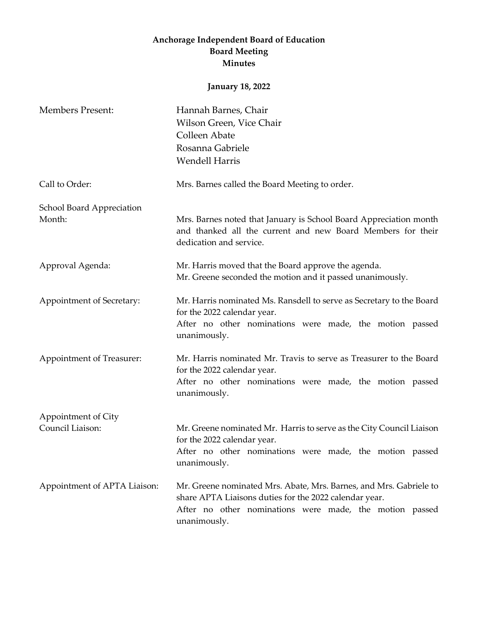## **Anchorage Independent Board of Education Board Meeting Minutes**

## **January 18, 2022**

| <b>Members Present:</b>             | Hannah Barnes, Chair<br>Wilson Green, Vice Chair<br>Colleen Abate<br>Rosanna Gabriele<br><b>Wendell Harris</b>                                                                                          |
|-------------------------------------|---------------------------------------------------------------------------------------------------------------------------------------------------------------------------------------------------------|
| Call to Order:                      | Mrs. Barnes called the Board Meeting to order.                                                                                                                                                          |
| School Board Appreciation<br>Month: | Mrs. Barnes noted that January is School Board Appreciation month<br>and thanked all the current and new Board Members for their<br>dedication and service.                                             |
| Approval Agenda:                    | Mr. Harris moved that the Board approve the agenda.<br>Mr. Greene seconded the motion and it passed unanimously.                                                                                        |
| Appointment of Secretary:           | Mr. Harris nominated Ms. Ransdell to serve as Secretary to the Board<br>for the 2022 calendar year.<br>After no other nominations were made, the motion passed<br>unanimously.                          |
| Appointment of Treasurer:           | Mr. Harris nominated Mr. Travis to serve as Treasurer to the Board<br>for the 2022 calendar year.<br>After no other nominations were made, the motion passed<br>unanimously.                            |
| Appointment of City                 |                                                                                                                                                                                                         |
| Council Liaison:                    | Mr. Greene nominated Mr. Harris to serve as the City Council Liaison<br>for the 2022 calendar year.<br>After no other nominations were made, the motion passed<br>unanimously.                          |
| Appointment of APTA Liaison:        | Mr. Greene nominated Mrs. Abate, Mrs. Barnes, and Mrs. Gabriele to<br>share APTA Liaisons duties for the 2022 calendar year.<br>After no other nominations were made, the motion passed<br>unanimously. |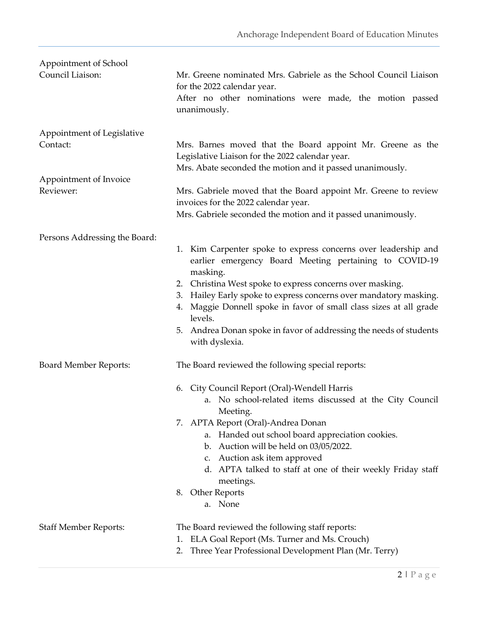| Appointment of School<br>Council Liaison:                                     | Mr. Greene nominated Mrs. Gabriele as the School Council Liaison<br>for the 2022 calendar year.<br>After no other nominations were made, the motion passed<br>unanimously.                                                                                                                                                                                                                                                                                     |
|-------------------------------------------------------------------------------|----------------------------------------------------------------------------------------------------------------------------------------------------------------------------------------------------------------------------------------------------------------------------------------------------------------------------------------------------------------------------------------------------------------------------------------------------------------|
| Appointment of Legislative<br>Contact:<br>Appointment of Invoice<br>Reviewer: | Mrs. Barnes moved that the Board appoint Mr. Greene as the<br>Legislative Liaison for the 2022 calendar year.<br>Mrs. Abate seconded the motion and it passed unanimously.<br>Mrs. Gabriele moved that the Board appoint Mr. Greene to review<br>invoices for the 2022 calendar year.<br>Mrs. Gabriele seconded the motion and it passed unanimously.                                                                                                          |
| Persons Addressing the Board:                                                 | 1. Kim Carpenter spoke to express concerns over leadership and<br>earlier emergency Board Meeting pertaining to COVID-19<br>masking.<br>2. Christina West spoke to express concerns over masking.<br>Hailey Early spoke to express concerns over mandatory masking.<br>3.<br>Maggie Donnell spoke in favor of small class sizes at all grade<br>4.<br>levels.<br>5. Andrea Donan spoke in favor of addressing the needs of students<br>with dyslexia.          |
| <b>Board Member Reports:</b>                                                  | The Board reviewed the following special reports:<br>City Council Report (Oral)-Wendell Harris<br>6.<br>a. No school-related items discussed at the City Council<br>Meeting.<br>7. APTA Report (Oral)-Andrea Donan<br>Handed out school board appreciation cookies.<br>a.<br>b. Auction will be held on 03/05/2022.<br>c. Auction ask item approved<br>d. APTA talked to staff at one of their weekly Friday staff<br>meetings.<br>8. Other Reports<br>a. None |
| <b>Staff Member Reports:</b>                                                  | The Board reviewed the following staff reports:<br>ELA Goal Report (Ms. Turner and Ms. Crouch)<br>1.<br>Three Year Professional Development Plan (Mr. Terry)<br>2.                                                                                                                                                                                                                                                                                             |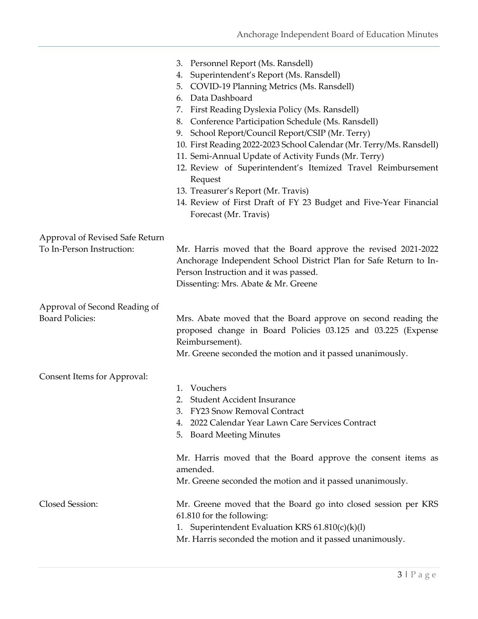|                                                              | 3. Personnel Report (Ms. Ransdell)<br>Superintendent's Report (Ms. Ransdell)<br>4.<br>COVID-19 Planning Metrics (Ms. Ransdell)<br>5.<br>Data Dashboard<br>6.<br>First Reading Dyslexia Policy (Ms. Ransdell)<br>7.<br>Conference Participation Schedule (Ms. Ransdell)<br>8.<br>School Report/Council Report/CSIP (Mr. Terry)<br>9.<br>10. First Reading 2022-2023 School Calendar (Mr. Terry/Ms. Ransdell)<br>11. Semi-Annual Update of Activity Funds (Mr. Terry)<br>12. Review of Superintendent's Itemized Travel Reimbursement<br>Request<br>13. Treasurer's Report (Mr. Travis)<br>14. Review of First Draft of FY 23 Budget and Five-Year Financial<br>Forecast (Mr. Travis) |
|--------------------------------------------------------------|-------------------------------------------------------------------------------------------------------------------------------------------------------------------------------------------------------------------------------------------------------------------------------------------------------------------------------------------------------------------------------------------------------------------------------------------------------------------------------------------------------------------------------------------------------------------------------------------------------------------------------------------------------------------------------------|
| Approval of Revised Safe Return<br>To In-Person Instruction: | Mr. Harris moved that the Board approve the revised 2021-2022<br>Anchorage Independent School District Plan for Safe Return to In-<br>Person Instruction and it was passed.<br>Dissenting: Mrs. Abate & Mr. Greene                                                                                                                                                                                                                                                                                                                                                                                                                                                                  |
| Approval of Second Reading of<br><b>Board Policies:</b>      | Mrs. Abate moved that the Board approve on second reading the<br>proposed change in Board Policies 03.125 and 03.225 (Expense<br>Reimbursement).<br>Mr. Greene seconded the motion and it passed unanimously.                                                                                                                                                                                                                                                                                                                                                                                                                                                                       |
| Consent Items for Approval:                                  | Vouchers<br>1.<br><b>Student Accident Insurance</b><br>2.<br><b>FY23 Snow Removal Contract</b><br>2022 Calendar Year Lawn Care Services Contract<br>4.<br><b>Board Meeting Minutes</b><br>5.                                                                                                                                                                                                                                                                                                                                                                                                                                                                                        |
|                                                              | Mr. Harris moved that the Board approve the consent items as<br>amended.<br>Mr. Greene seconded the motion and it passed unanimously.                                                                                                                                                                                                                                                                                                                                                                                                                                                                                                                                               |
| Closed Session:                                              | Mr. Greene moved that the Board go into closed session per KRS<br>61.810 for the following:<br>1. Superintendent Evaluation KRS 61.810(c)(k)(l)<br>Mr. Harris seconded the motion and it passed unanimously.                                                                                                                                                                                                                                                                                                                                                                                                                                                                        |